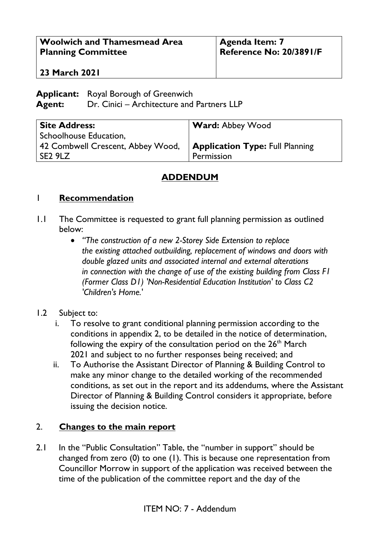| <b>Woolwich and Thamesmead Area</b> | <b>Agenda Item: 7</b>   |
|-------------------------------------|-------------------------|
| <b>Planning Committee</b>           | Reference No: 20/3891/F |
| <b>23 March 2021</b>                |                         |

**Applicant:** Royal Borough of Greenwich **Agent:** Dr. Cinici – Architecture and Partners LLP

| <b>Site Address:</b>              | <b>Ward: Abbey Wood</b>                |
|-----------------------------------|----------------------------------------|
| Schoolhouse Education,            |                                        |
| 42 Combwell Crescent, Abbey Wood, | <b>Application Type: Full Planning</b> |
| l SE2 9LZ                         | Permission                             |

## **ADDENDUM**

## 1 **Recommendation**

- 1.1 The Committee is requested to grant full planning permission as outlined below:
	- *"The construction of a new 2-Storey Side Extension to replace the existing attached outbuilding, replacement of windows and doors with double glazed units and associated internal and external alterations in connection with the change of use of the existing building from Class F1 (Former Class D1) 'Non-Residential Education Institution' to Class C2 'Children's Home.'*

## 1.2 Subject to:

- i. To resolve to grant conditional planning permission according to the conditions in appendix 2, to be detailed in the notice of determination, following the expiry of the consultation period on the  $26<sup>th</sup>$  March 2021 and subject to no further responses being received; and
- ii. To Authorise the Assistant Director of Planning & Building Control to make any minor change to the detailed working of the recommended conditions, as set out in the report and its addendums, where the Assistant Director of Planning & Building Control considers it appropriate, before issuing the decision notice.

## 2. **Changes to the main report**

2.1 In the "Public Consultation" Table, the "number in support" should be changed from zero (0) to one (1). This is because one representation from Councillor Morrow in support of the application was received between the time of the publication of the committee report and the day of the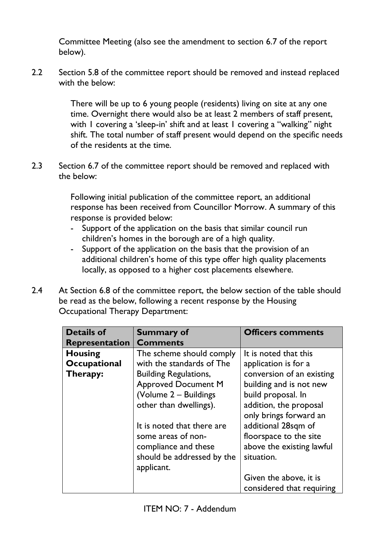Committee Meeting (also see the amendment to section 6.7 of the report below).

2.2 Section 5.8 of the committee report should be removed and instead replaced with the below:

> There will be up to 6 young people (residents) living on site at any one time. Overnight there would also be at least 2 members of staff present, with 1 covering a 'sleep-in' shift and at least 1 covering a "walking" night shift. The total number of staff present would depend on the specific needs of the residents at the time.

2.3 Section 6.7 of the committee report should be removed and replaced with the below:

> Following initial publication of the committee report, an additional response has been received from Councillor Morrow. A summary of this response is provided below:

- Support of the application on the basis that similar council run children's homes in the borough are of a high quality.
- Support of the application on the basis that the provision of an additional children's home of this type offer high quality placements locally, as opposed to a higher cost placements elsewhere.
- 2.4 At Section 6.8 of the committee report, the below section of the table should be read as the below, following a recent response by the Housing Occupational Therapy Department:

| <b>Details of</b>     | <b>Summary of</b>            | <b>Officers comments</b>  |
|-----------------------|------------------------------|---------------------------|
| <b>Representation</b> | <b>Comments</b>              |                           |
| <b>Housing</b>        | The scheme should comply     | It is noted that this     |
| Occupational          | with the standards of The    | application is for a      |
| Therapy:              | <b>Building Regulations,</b> | conversion of an existing |
|                       | <b>Approved Document M</b>   | building and is not new   |
|                       | (Volume 2 - Buildings        | build proposal. In        |
|                       | other than dwellings).       | addition, the proposal    |
|                       |                              | only brings forward an    |
|                       | It is noted that there are   | additional 28sqm of       |
|                       | some areas of non-           | floorspace to the site    |
|                       | compliance and these         | above the existing lawful |
|                       | should be addressed by the   | situation.                |
|                       | applicant.                   |                           |
|                       |                              | Given the above, it is    |
|                       |                              | considered that requiring |